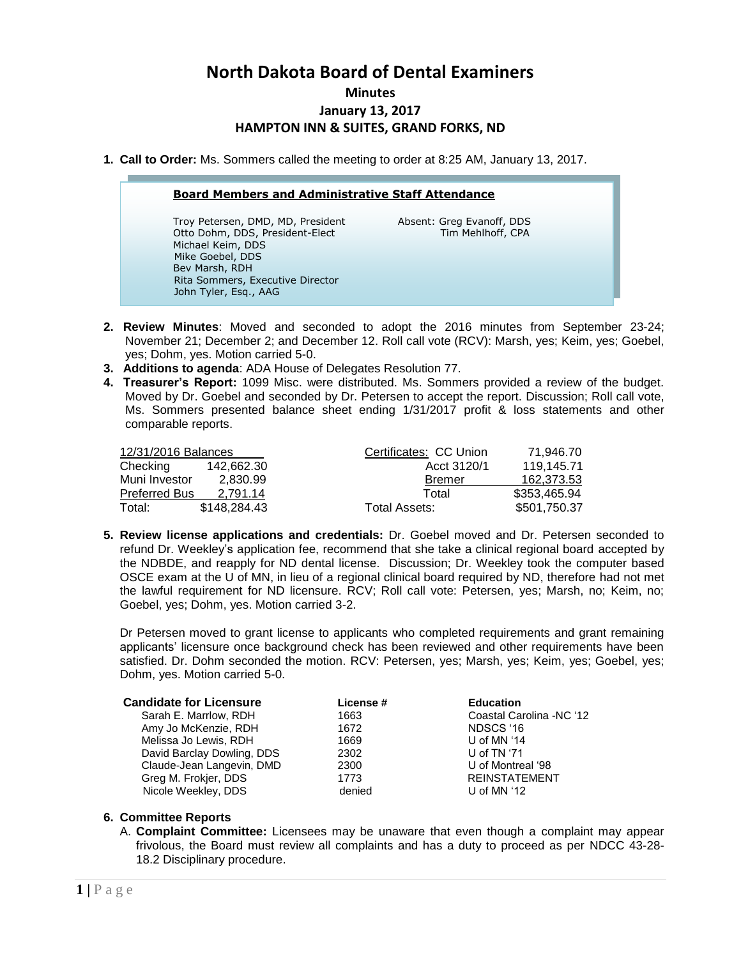# **North Dakota Board of Dental Examiners**

#### **Minutes**

## **January 13, 2017**

## **HAMPTON INN & SUITES, GRAND FORKS, ND**

**1. Call to Order:** Ms. Sommers called the meeting to order at 8:25 AM, January 13, 2017.

### **Board Members and Administrative Staff Attendance**

Troy Petersen, DMD, MD, President Absent: Greg Evanoff, DDS Otto Dohm, DDS, President-Elect Tim Mehlhoff, CPA Michael Keim, DDS Mike Goebel, DDS Bev Marsh, RDH Rita Sommers, Executive Director John Tyler, Esq., AAG

l

- **2. Review Minutes**: Moved and seconded to adopt the 2016 minutes from September 23-24; November 21; December 2; and December 12. Roll call vote (RCV): Marsh, yes; Keim, yes; Goebel, yes; Dohm, yes. Motion carried 5-0.
- **3. Additions to agenda**: ADA House of Delegates Resolution 77.
- **4. Treasurer's Report:** 1099 Misc. were distributed. Ms. Sommers provided a review of the budget. Moved by Dr. Goebel and seconded by Dr. Petersen to accept the report. Discussion; Roll call vote, Ms. Sommers presented balance sheet ending 1/31/2017 profit & loss statements and other comparable reports.

| 12/31/2016 Balances  |              | Certificates: CC Union | 71.946.70    |
|----------------------|--------------|------------------------|--------------|
| Checking             | 142.662.30   | Acct 3120/1            | 119.145.71   |
| Muni Investor        | 2.830.99     | <b>Bremer</b>          | 162.373.53   |
| <b>Preferred Bus</b> | 2.791.14     | Total                  | \$353,465.94 |
| Total:               | \$148,284,43 | Total Assets:          | \$501.750.37 |

**5. Review license applications and credentials:** Dr. Goebel moved and Dr. Petersen seconded to refund Dr. Weekley's application fee, recommend that she take a clinical regional board accepted by the NDBDE, and reapply for ND dental license. Discussion; Dr. Weekley took the computer based OSCE exam at the U of MN, in lieu of a regional clinical board required by ND, therefore had not met the lawful requirement for ND licensure. RCV; Roll call vote: Petersen, yes; Marsh, no; Keim, no; Goebel, yes; Dohm, yes. Motion carried 3-2.

Dr Petersen moved to grant license to applicants who completed requirements and grant remaining applicants' licensure once background check has been reviewed and other requirements have been satisfied. Dr. Dohm seconded the motion. RCV: Petersen, yes; Marsh, yes; Keim, yes; Goebel, yes; Dohm, yes. Motion carried 5-0.

| <b>Candidate for Licensure</b> | License # | <b>Education</b>         |
|--------------------------------|-----------|--------------------------|
| Sarah E. Marrlow, RDH          | 1663      | Coastal Carolina -NC '12 |
| Amy Jo McKenzie, RDH           | 1672      | NDSCS '16                |
| Melissa Jo Lewis, RDH          | 1669      | U of MN $44$             |
| David Barclay Dowling, DDS     | 2302      | U of TN '71              |
| Claude-Jean Langevin, DMD      | 2300      | U of Montreal '98        |
| Greg M. Frokjer, DDS           | 1773      | <b>REINSTATEMENT</b>     |
| Nicole Weekley, DDS            | denied    | U of MN $'12$            |

#### **6. Committee Reports**

A. **Complaint Committee:** Licensees may be unaware that even though a complaint may appear frivolous, the Board must review all complaints and has a duty to proceed as per NDCC 43-28- 18.2 Disciplinary procedure.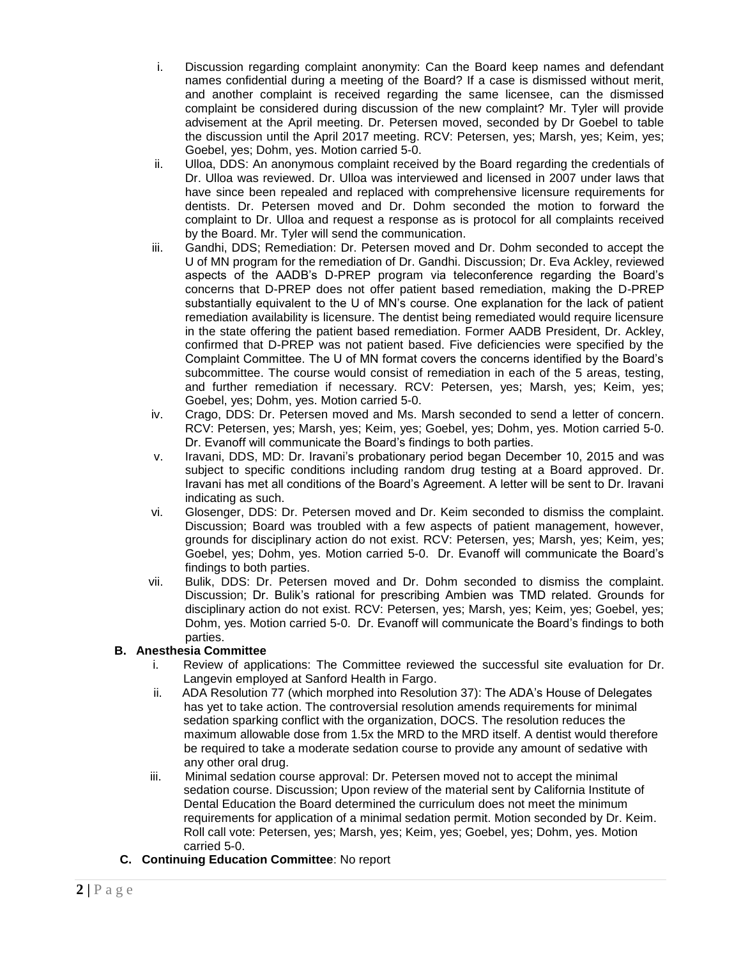- i. Discussion regarding complaint anonymity: Can the Board keep names and defendant names confidential during a meeting of the Board? If a case is dismissed without merit, and another complaint is received regarding the same licensee, can the dismissed complaint be considered during discussion of the new complaint? Mr. Tyler will provide advisement at the April meeting. Dr. Petersen moved, seconded by Dr Goebel to table the discussion until the April 2017 meeting. RCV: Petersen, yes; Marsh, yes; Keim, yes; Goebel, yes; Dohm, yes. Motion carried 5-0.
- ii. Ulloa, DDS: An anonymous complaint received by the Board regarding the credentials of Dr. Ulloa was reviewed. Dr. Ulloa was interviewed and licensed in 2007 under laws that have since been repealed and replaced with comprehensive licensure requirements for dentists. Dr. Petersen moved and Dr. Dohm seconded the motion to forward the complaint to Dr. Ulloa and request a response as is protocol for all complaints received by the Board. Mr. Tyler will send the communication.
- iii. Gandhi, DDS; Remediation: Dr. Petersen moved and Dr. Dohm seconded to accept the U of MN program for the remediation of Dr. Gandhi. Discussion; Dr. Eva Ackley, reviewed aspects of the AADB's D-PREP program via teleconference regarding the Board's concerns that D-PREP does not offer patient based remediation, making the D-PREP substantially equivalent to the U of MN's course. One explanation for the lack of patient remediation availability is licensure. The dentist being remediated would require licensure in the state offering the patient based remediation. Former AADB President, Dr. Ackley, confirmed that D-PREP was not patient based. Five deficiencies were specified by the Complaint Committee. The U of MN format covers the concerns identified by the Board's subcommittee. The course would consist of remediation in each of the 5 areas, testing, and further remediation if necessary. RCV: Petersen, yes; Marsh, yes; Keim, yes; Goebel, yes; Dohm, yes. Motion carried 5-0.
- iv. Crago, DDS: Dr. Petersen moved and Ms. Marsh seconded to send a letter of concern. RCV: Petersen, yes; Marsh, yes; Keim, yes; Goebel, yes; Dohm, yes. Motion carried 5-0. Dr. Evanoff will communicate the Board's findings to both parties.
- v. Iravani, DDS, MD: Dr. Iravani's probationary period began December 10, 2015 and was subject to specific conditions including random drug testing at a Board approved. Dr. Iravani has met all conditions of the Board's Agreement. A letter will be sent to Dr. Iravani indicating as such.
- vi. Glosenger, DDS: Dr. Petersen moved and Dr. Keim seconded to dismiss the complaint. Discussion; Board was troubled with a few aspects of patient management, however, grounds for disciplinary action do not exist. RCV: Petersen, yes; Marsh, yes; Keim, yes; Goebel, yes; Dohm, yes. Motion carried 5-0. Dr. Evanoff will communicate the Board's findings to both parties.
- vii. Bulik, DDS: Dr. Petersen moved and Dr. Dohm seconded to dismiss the complaint. Discussion; Dr. Bulik's rational for prescribing Ambien was TMD related. Grounds for disciplinary action do not exist. RCV: Petersen, yes; Marsh, yes; Keim, yes; Goebel, yes; Dohm, yes. Motion carried 5-0. Dr. Evanoff will communicate the Board's findings to both parties.

# **B. Anesthesia Committee**

- i. Review of applications: The Committee reviewed the successful site evaluation for Dr. Langevin employed at Sanford Health in Fargo.
- ii. ADA Resolution 77 (which morphed into Resolution 37): The ADA's House of Delegates has yet to take action. The controversial resolution amends requirements for minimal sedation sparking conflict with the organization, DOCS. The resolution reduces the maximum allowable dose from 1.5x the MRD to the MRD itself. A dentist would therefore be required to take a moderate sedation course to provide any amount of sedative with any other oral drug.
- iii. Minimal sedation course approval: Dr. Petersen moved not to accept the minimal sedation course. Discussion; Upon review of the material sent by California Institute of Dental Education the Board determined the curriculum does not meet the minimum requirements for application of a minimal sedation permit. Motion seconded by Dr. Keim. Roll call vote: Petersen, yes; Marsh, yes; Keim, yes; Goebel, yes; Dohm, yes. Motion carried 5-0.
- **C. Continuing Education Committee**: No report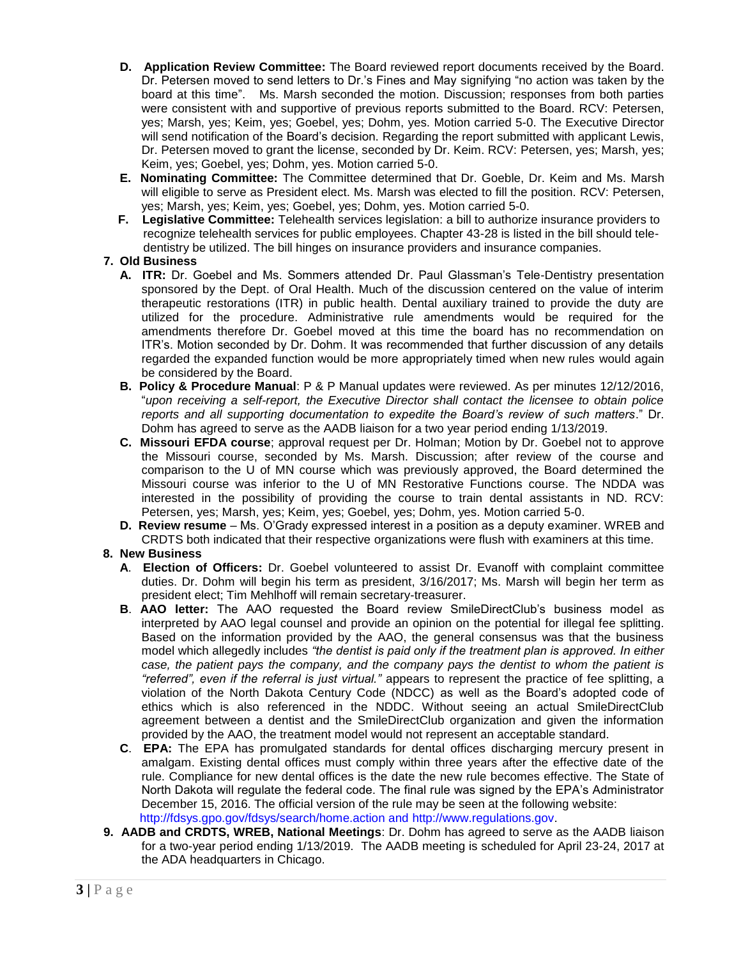- **D. Application Review Committee:** The Board reviewed report documents received by the Board. Dr. Petersen moved to send letters to Dr.'s Fines and May signifying "no action was taken by the board at this time". Ms. Marsh seconded the motion. Discussion; responses from both parties were consistent with and supportive of previous reports submitted to the Board. RCV: Petersen, yes; Marsh, yes; Keim, yes; Goebel, yes; Dohm, yes. Motion carried 5-0. The Executive Director will send notification of the Board's decision. Regarding the report submitted with applicant Lewis, Dr. Petersen moved to grant the license, seconded by Dr. Keim. RCV: Petersen, yes; Marsh, yes; Keim, yes; Goebel, yes; Dohm, yes. Motion carried 5-0.
- **E. Nominating Committee:** The Committee determined that Dr. Goeble, Dr. Keim and Ms. Marsh will eligible to serve as President elect. Ms. Marsh was elected to fill the position. RCV: Petersen, yes; Marsh, yes; Keim, yes; Goebel, yes; Dohm, yes. Motion carried 5-0.
- **F. Legislative Committee:** Telehealth services legislation: a bill to authorize insurance providers to recognize telehealth services for public employees. Chapter 43-28 is listed in the bill should tele dentistry be utilized. The bill hinges on insurance providers and insurance companies.

# **7. Old Business**

- **A. ITR:** Dr. Goebel and Ms. Sommers attended Dr. Paul Glassman's Tele-Dentistry presentation sponsored by the Dept. of Oral Health. Much of the discussion centered on the value of interim therapeutic restorations (ITR) in public health. Dental auxiliary trained to provide the duty are utilized for the procedure. Administrative rule amendments would be required for the amendments therefore Dr. Goebel moved at this time the board has no recommendation on ITR's. Motion seconded by Dr. Dohm. It was recommended that further discussion of any details regarded the expanded function would be more appropriately timed when new rules would again be considered by the Board.
- **B. Policy & Procedure Manual**: P & P Manual updates were reviewed. As per minutes 12/12/2016, "*upon receiving a self-report, the Executive Director shall contact the licensee to obtain police reports and all supporting documentation to expedite the Board's review of such matters*." Dr. Dohm has agreed to serve as the AADB liaison for a two year period ending 1/13/2019.
- **C. Missouri EFDA course**; approval request per Dr. Holman; Motion by Dr. Goebel not to approve the Missouri course, seconded by Ms. Marsh. Discussion; after review of the course and comparison to the U of MN course which was previously approved, the Board determined the Missouri course was inferior to the U of MN Restorative Functions course. The NDDA was interested in the possibility of providing the course to train dental assistants in ND. RCV: Petersen, yes; Marsh, yes; Keim, yes; Goebel, yes; Dohm, yes. Motion carried 5-0.
- **D. Review resume** Ms. O'Grady expressed interest in a position as a deputy examiner. WREB and CRDTS both indicated that their respective organizations were flush with examiners at this time.

## **8. New Business**

- **A**. **Election of Officers:** Dr. Goebel volunteered to assist Dr. Evanoff with complaint committee duties. Dr. Dohm will begin his term as president, 3/16/2017; Ms. Marsh will begin her term as president elect; Tim Mehlhoff will remain secretary-treasurer.
- **B**. **AAO letter:** The AAO requested the Board review SmileDirectClub's business model as interpreted by AAO legal counsel and provide an opinion on the potential for illegal fee splitting. Based on the information provided by the AAO, the general consensus was that the business model which allegedly includes *"the dentist is paid only if the treatment plan is approved. In either case, the patient pays the company, and the company pays the dentist to whom the patient is "referred", even if the referral is just virtual."* appears to represent the practice of fee splitting, a violation of the North Dakota Century Code (NDCC) as well as the Board's adopted code of ethics which is also referenced in the NDDC. Without seeing an actual SmileDirectClub agreement between a dentist and the SmileDirectClub organization and given the information provided by the AAO, the treatment model would not represent an acceptable standard.
- **C**. **EPA:** The EPA has promulgated standards for dental offices discharging mercury present in amalgam. Existing dental offices must comply within three years after the effective date of the rule. Compliance for new dental offices is the date the new rule becomes effective. The State of North Dakota will regulate the federal code. The final rule was signed by the EPA's Administrator December 15, 2016. The official version of the rule may be seen at the following website: [http://fdsys.gpo.gov/fdsys/search/home.action and http://www.regulations.gov.](http://fdsys.gpo.gov/fdsys/search/home.action%20and)
- **9. AADB and CRDTS, WREB, National Meetings**: Dr. Dohm has agreed to serve as the AADB liaison for a two-year period ending 1/13/2019. The AADB meeting is scheduled for April 23-24, 2017 at the ADA headquarters in Chicago.